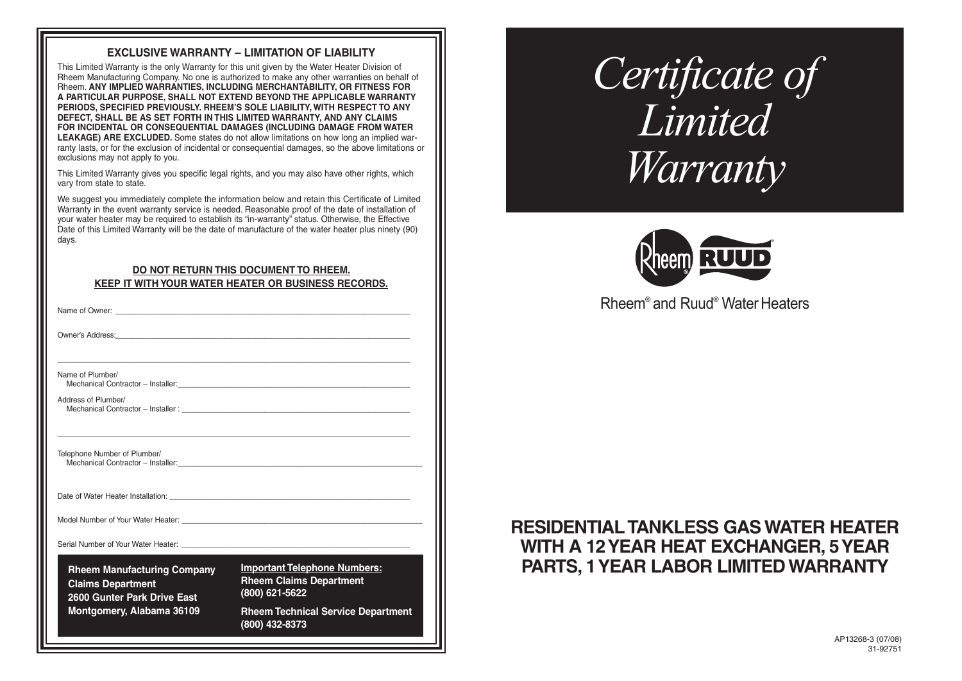## **EXCLUSIVE WARRANTY – LIMITATION OF LIABILITY**

This Limited Warranty is the only Warranty for this unit given by the Water Heater Division of Rheem Manufacturing Company. No one is authorized to make any other warranties on behalf of Rheem. **ANY IMPLIED WARRANTIES, INCLUDING MERCHANTABILITY, OR FITNESS FOR A PARTICULAR PURPOSE, SHALL NOT EXTEND BEYOND THE APPLICABLE WARRANTY PERIODS, SPECIFIED PREVIOUSLY. RHEEM'S SOLE LIABILITY, WITH RESPECT TO ANY DEFECT, SHALL BE AS SET FORTH IN THIS LIMITED WARRANTY, AND ANY CLAIMS FOR INCIDENTAL OR CONSEQUENTIAL DAMAGES (INCLUDING DAMAGE FROM WATER LEAKAGE) ARE EXCLUDED.** Some states do not allow limitations on how long an implied warranty lasts, or for the exclusion of incidental or consequential damages, so the above limitations or exclusions may not apply to you.

This Limited Warranty gives you specific legal rights, and you may also have other rights, which vary from state to state.

We suggest you immediately complete the information below and retain this Certificate of Limited Warranty in the event warranty service is needed. Reasonable proof of the date of installation of your water heater may be required to establish its "in-warranty" status. Otherwise, the Effective Date of this Limited Warranty will be the date of manufacture of the water heater plus ninety (90) days.

#### **DO NOT RETURN THIS DOCUMENT TO RHEEM. KEEP IT WITH YOUR WATER HEATER OR BUSINESS RECORDS.**

| <b>Rheem Manufacturing Company</b><br><b>Claims Department</b><br>2600 Gunter Park Drive East<br>Montgomery, Alabama 36109                                                                                                           | <b>Rheem Technical Service Department</b><br>(800) 432-8373                             |
|--------------------------------------------------------------------------------------------------------------------------------------------------------------------------------------------------------------------------------------|-----------------------------------------------------------------------------------------|
|                                                                                                                                                                                                                                      | <b>Important Telephone Numbers:</b><br><b>Rheem Claims Department</b><br>(800) 621-5622 |
|                                                                                                                                                                                                                                      |                                                                                         |
| Model Number of Your Water Heater: New York Channels And Allen And Allen And Allen And Allen And Allen And All                                                                                                                       |                                                                                         |
| Date of Water Heater Installation: University of Water Assembly and the University of Water Installation:                                                                                                                            |                                                                                         |
| Telephone Number of Plumber/                                                                                                                                                                                                         |                                                                                         |
| Address of Plumber/                                                                                                                                                                                                                  | Mechanical Contractor – Installer :                                                     |
| Name of Plumber/                                                                                                                                                                                                                     |                                                                                         |
| Owner's Address: <u>Committee Committee Committee Committee Committee Committee Committee Committee Committee Committee Committee Committee Committee Committee Committee Committee Committee Committee Committee Committee Comm</u> |                                                                                         |
|                                                                                                                                                                                                                                      |                                                                                         |

# *Certificate of Limited Warranty*



Rheem® and Ruud® Water Heaters

# **RESIDENTIAL TANKLESS GAS WATER HEATER WITH A 12 YEAR HEAT EXCHANGER, 5 YEAR PARTS, 1 YEAR LABOR LIMITED WARRANTY**